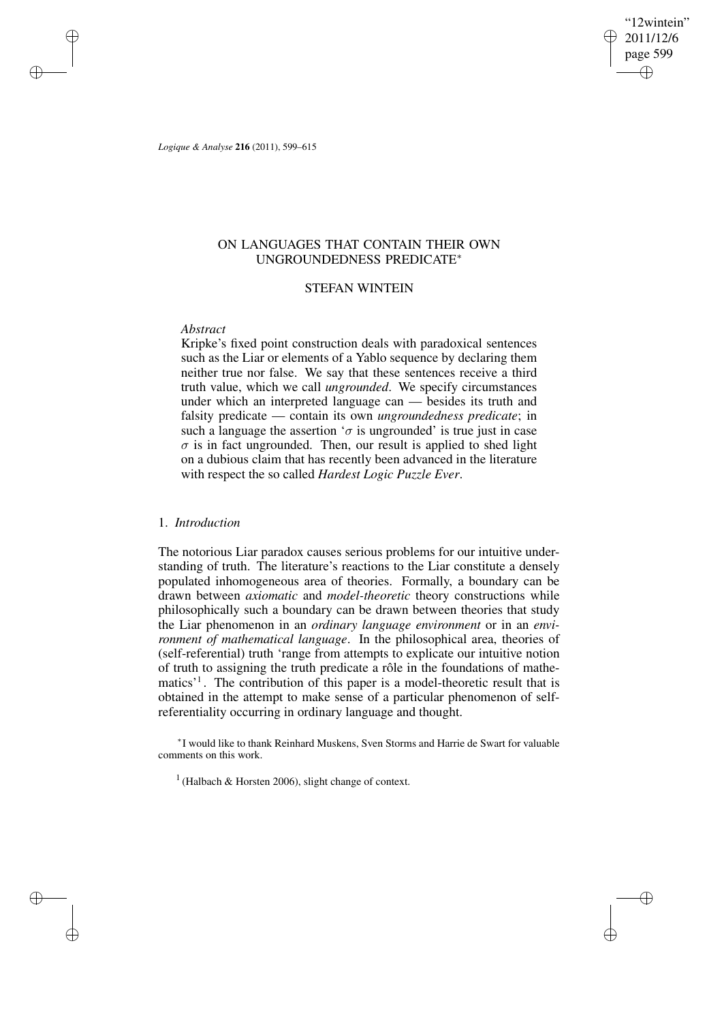'12wintein" 2011/12/6 page 599 ✐ ✐

✐

✐

*Logique & Analyse* **216** (2011), 599–615

✐

✐

✐

✐

# ON LANGUAGES THAT CONTAIN THEIR OWN UNGROUNDEDNESS PREDICATE<sup>∗</sup>

## STEFAN WINTEIN

## *Abstract*

Kripke's fixed point construction deals with paradoxical sentences such as the Liar or elements of a Yablo sequence by declaring them neither true nor false. We say that these sentences receive a third truth value, which we call *ungrounded*. We specify circumstances under which an interpreted language can — besides its truth and falsity predicate — contain its own *ungroundedness predicate*; in such a language the assertion ' $\sigma$  is ungrounded' is true just in case  $\sigma$  is in fact ungrounded. Then, our result is applied to shed light on a dubious claim that has recently been advanced in the literature with respect the so called *Hardest Logic Puzzle Ever*.

## 1. *Introduction*

The notorious Liar paradox causes serious problems for our intuitive understanding of truth. The literature's reactions to the Liar constitute a densely populated inhomogeneous area of theories. Formally, a boundary can be drawn between *axiomatic* and *model-theoretic* theory constructions while philosophically such a boundary can be drawn between theories that study the Liar phenomenon in an *ordinary language environment* or in an *environment of mathematical language*. In the philosophical area, theories of (self-referential) truth 'range from attempts to explicate our intuitive notion of truth to assigning the truth predicate a rôle in the foundations of mathematics<sup>'1</sup>. The contribution of this paper is a model-theoretic result that is obtained in the attempt to make sense of a particular phenomenon of selfreferentiality occurring in ordinary language and thought.

∗ I would like to thank Reinhard Muskens, Sven Storms and Harrie de Swart for valuable comments on this work.

1 (Halbach & Horsten 2006), slight change of context.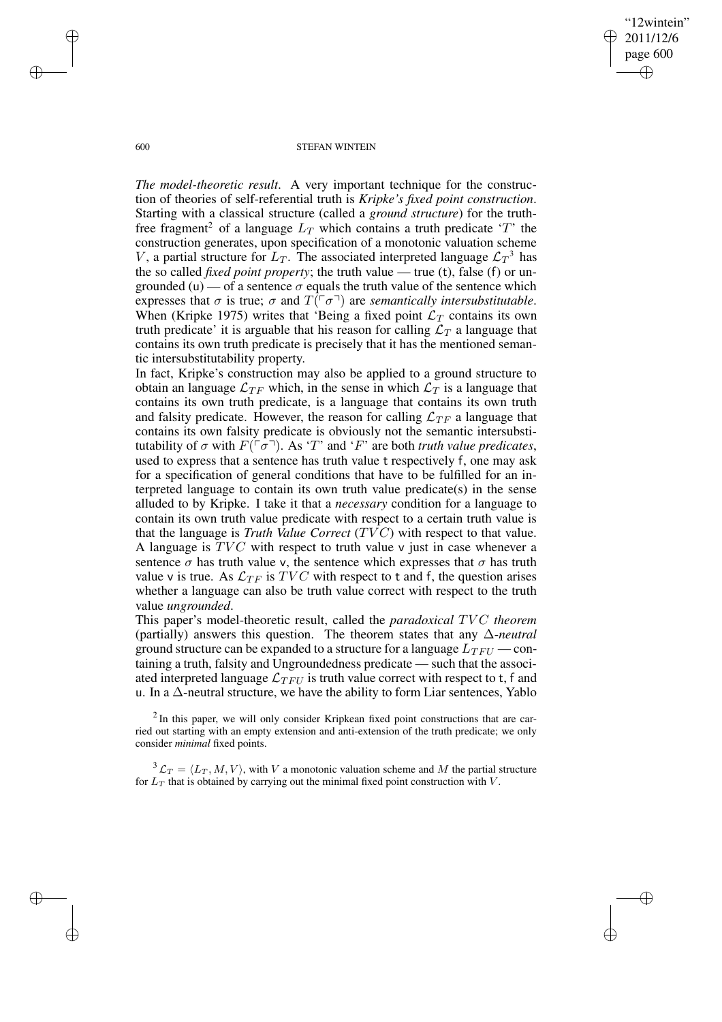✐

### 600 STEFAN WINTEIN

*The model-theoretic result*. A very important technique for the construction of theories of self-referential truth is *Kripke's fixed point construction*. Starting with a classical structure (called a *ground structure*) for the truthfree fragment<sup>2</sup> of a language  $L_T$  which contains a truth predicate 'T' the construction generates, upon specification of a monotonic valuation scheme V, a partial structure for  $L_T$ . The associated interpreted language  $\mathcal{L}_T^3$  has the so called *fixed point property*; the truth value — true (t), false (f) or ungrounded (u) — of a sentence  $\sigma$  equals the truth value of the sentence which expresses that  $\sigma$  is true;  $\sigma$  and  $T(\lceil \sigma \rceil)$  are *semantically intersubstitutable*. When (Kripke 1975) writes that 'Being a fixed point  $\mathcal{L}_T$  contains its own truth predicate' it is arguable that his reason for calling  $\mathcal{L}_T$  a language that contains its own truth predicate is precisely that it has the mentioned semantic intersubstitutability property.

In fact, Kripke's construction may also be applied to a ground structure to obtain an language  $\mathcal{L}_{TF}$  which, in the sense in which  $\mathcal{L}_T$  is a language that contains its own truth predicate, is a language that contains its own truth and falsity predicate. However, the reason for calling  $\mathcal{L}_{TF}$  a language that contains its own falsity predicate is obviously not the semantic intersubstitutability of σ with  $F(\ulcorner σ \urcorner)$ . As 'T' and 'F' are both *truth value predicates*, used to express that a sentence has truth value t respectively f, one may ask for a specification of general conditions that have to be fulfilled for an interpreted language to contain its own truth value predicate(s) in the sense alluded to by Kripke. I take it that a *necessary* condition for a language to contain its own truth value predicate with respect to a certain truth value is that the language is *Truth Value Correct* (TV C) with respect to that value. A language is  $TVC$  with respect to truth value v just in case whenever a sentence  $\sigma$  has truth value v, the sentence which expresses that  $\sigma$  has truth value v is true. As  $\mathcal{L}_{TF}$  is  $TVC$  with respect to t and f, the question arises whether a language can also be truth value correct with respect to the truth value *ungrounded*.

This paper's model-theoretic result, called the *paradoxical* TVC theorem (partially) answers this question. The theorem states that any ∆-*neutral* ground structure can be expanded to a structure for a language  $L_{TFU}$  — containing a truth, falsity and Ungroundedness predicate — such that the associated interpreted language  $\mathcal{L}_{TFU}$  is truth value correct with respect to t, f and u. In a ∆-neutral structure, we have the ability to form Liar sentences, Yablo

 $2$ In this paper, we will only consider Kripkean fixed point constructions that are carried out starting with an empty extension and anti-extension of the truth predicate; we only consider *minimal* fixed points.

 $3 \mathcal{L}_T = \langle L_T, M, V \rangle$ , with V a monotonic valuation scheme and M the partial structure for  $L_T$  that is obtained by carrying out the minimal fixed point construction with  $V$ .

✐

✐

✐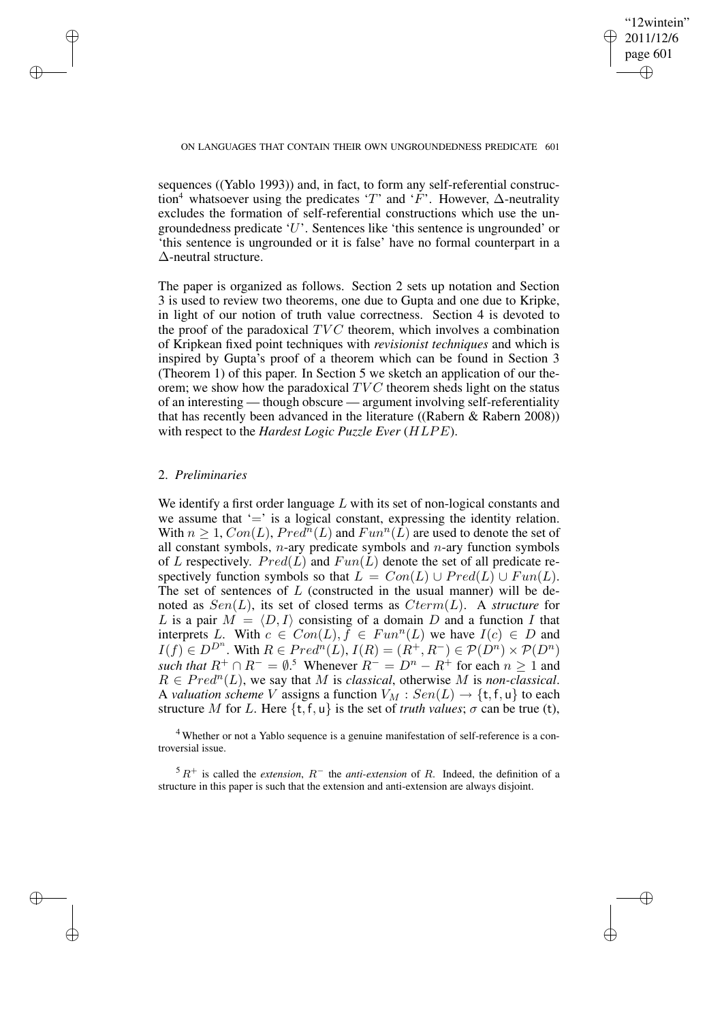✐

### ON LANGUAGES THAT CONTAIN THEIR OWN UNGROUNDEDNESS PREDICATE 601

sequences ((Yablo 1993)) and, in fact, to form any self-referential construction<sup>4</sup> whatsoever using the predicates 'T' and ' $\overline{F}$ '. However,  $\Delta$ -neutrality excludes the formation of self-referential constructions which use the ungroundedness predicate 'U'. Sentences like 'this sentence is ungrounded' or 'this sentence is ungrounded or it is false' have no formal counterpart in a ∆-neutral structure.

The paper is organized as follows. Section 2 sets up notation and Section 3 is used to review two theorems, one due to Gupta and one due to Kripke, in light of our notion of truth value correctness. Section 4 is devoted to the proof of the paradoxical  $TVC$  theorem, which involves a combination of Kripkean fixed point techniques with *revisionist techniques* and which is inspired by Gupta's proof of a theorem which can be found in Section 3 (Theorem 1) of this paper. In Section 5 we sketch an application of our theorem; we show how the paradoxical  $TVC$  theorem sheds light on the status of an interesting — though obscure — argument involving self-referentiality that has recently been advanced in the literature ((Rabern & Rabern 2008)) with respect to the *Hardest Logic Puzzle Ever* (HLPE).

## 2. *Preliminaries*

✐

✐

✐

✐

We identify a first order language  $L$  with its set of non-logical constants and we assume that  $\equiv$  is a logical constant, expressing the identity relation. With  $n \geq 1$ ,  $Con(L)$ ,  $Pred^{\overline{n}}(L)$  and  $Fun^n(\hat{L})$  are used to denote the set of all constant symbols, *n*-ary predicate symbols and *n*-ary function symbols of L respectively.  $Pred(L)$  and  $Fun(L)$  denote the set of all predicate respectively function symbols so that  $L = Con(L) \cup Pred(L) \cup Fun(L)$ . The set of sentences of  $L$  (constructed in the usual manner) will be denoted as  $Sen(L)$ , its set of closed terms as  $Cterm(L)$ . A *structure* for L is a pair  $M = \langle D, I \rangle$  consisting of a domain D and a function I that interprets L. With  $c \in Com(L), \tilde{f} \in Fun^n(L)$  we have  $I(c) \in D$  and  $I(f) \in D^{D^n}$ . With  $R \in Pred^n(L)$ ,  $I(R) = (R^+, R^-) \in \mathcal{P}(D^n) \times \mathcal{P}(D^n)$ *such that*  $R^+ \cap R^- = \emptyset$ .<sup>5</sup> Whenever  $R^- = D^n - R^+$  for each  $n \ge 1$  and  $R \in Pred<sup>n</sup>(L)$ , we say that M is *classical*, otherwise M is *non-classical*. A *valuation scheme* V assigns a function  $V_M : Sen(L) \rightarrow \{t, f, u\}$  to each structure M for L. Here  $\{t, f, u\}$  is the set of *truth values*;  $\sigma$  can be true (t),

<sup>4</sup> Whether or not a Yablo sequence is a genuine manifestation of self-reference is a controversial issue.

 $5 R<sup>+</sup>$  is called the *extension*,  $R<sup>-</sup>$  the *anti-extension* of R. Indeed, the definition of a structure in this paper is such that the extension and anti-extension are always disjoint.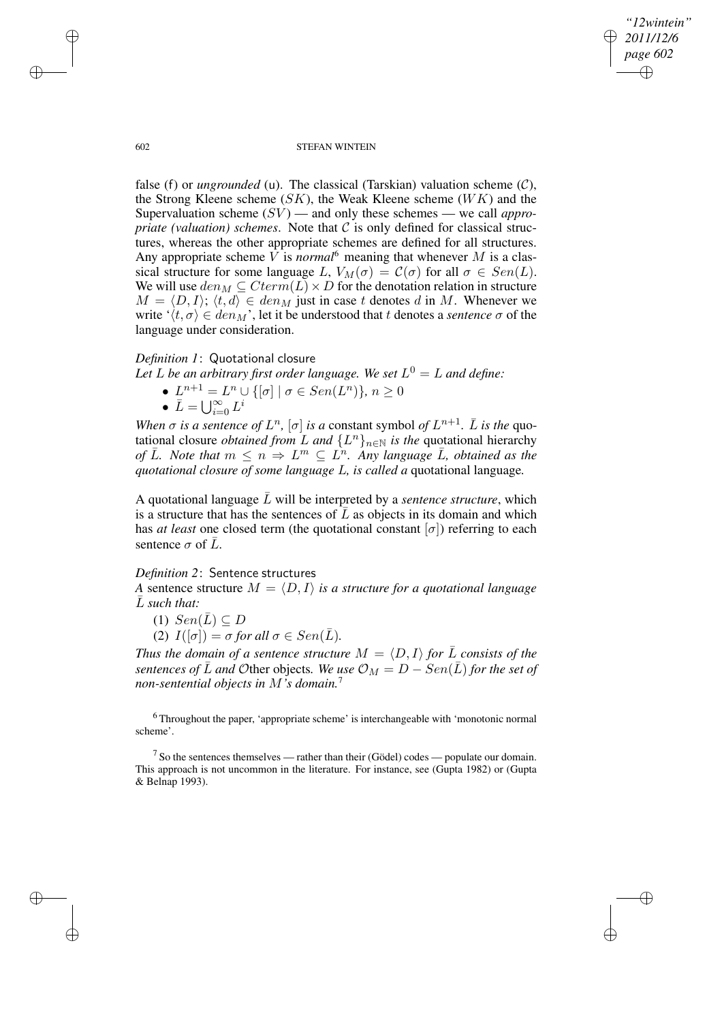*"12wintein" 2011/12/6 page 602* ✐ ✐

✐

✐

#### 602 STEFAN WINTEIN

false (f) or *ungrounded* (u). The classical (Tarskian) valuation scheme  $(C)$ , the Strong Kleene scheme  $(SK)$ , the Weak Kleene scheme  $(WK)$  and the Supervaluation scheme  $(SV)$  — and only these schemes — we call *appropriate* (valuation) schemes. Note that  $C$  is only defined for classical structures, whereas the other appropriate schemes are defined for all structures. Any appropriate scheme  $V$  is *normal*<sup>6</sup> meaning that whenever  $M$  is a classical structure for some language L,  $V_M(\sigma) = C(\sigma)$  for all  $\sigma \in Sen(L)$ . We will use  $den_M \subseteq Cterm(L) \times D$  for the denotation relation in structure  $M = \langle D, I \rangle$ ;  $\langle t, d \rangle \in \text{den}_M$  just in case t denotes d in M. Whenever we write  $\langle t, \sigma \rangle \in \text{den}_M$ , let it be understood that t denotes a *sentence*  $\sigma$  of the language under consideration.

# *Definition 1*: Quotational closure

- Let  $L$  be an arbitrary first order language. We set  $L^0 = L$  and define:
	- $L^{n+1} = L^n \cup \{ [\sigma] \mid \sigma \in Sen(L^n) \}, n \ge 0$ •  $\bar{L} = \bigcup_{i=0}^{\infty} L^i$

*When*  $\sigma$  *is a sentence of*  $L^n$ ,  $[\sigma]$  *is a* constant symbol *of*  $L^{n+1}$ .  $\overline{L}$  *is the* quotational closure *obtained from* L and  $\{L^n\}_{n\in\mathbb{N}}$  *is the* quotational hierarchy *of*  $\overline{L}$ *. Note that*  $m \leq n \Rightarrow L^m \subseteq L^n$ *. Any language*  $\overline{L}$ *, obtained as the quotational closure of some language* L*, is called a* quotational language*.*

A quotational language  $\overline{L}$  will be interpreted by a *sentence structure*, which is a structure that has the sentences of  $\bar{L}$  as objects in its domain and which has *at least* one closed term (the quotational constant  $[\sigma]$ ) referring to each sentence  $\sigma$  of L.

## *Definition 2*: Sentence structures

*A* sentence structure  $M = \langle D, I \rangle$  *is a structure for a quotational language*  $\overline{L}$  *such that:* 

(1)  $Sen(\overline{L}) \subseteq D$ (2)  $I([\sigma]) = \sigma$  *for all*  $\sigma \in Sen(\overline{L})$ *.* 

*Thus the domain of a sentence structure*  $M = \langle D, I \rangle$  *for*  $\overline{L}$  *consists of the sentences of*  $\overline{L}$  *and* Other objects. We use  $\mathcal{O}_M = D - \text{Sen}(\overline{L})$  for the set of *non-sentential objects in* M*'s domain.*<sup>7</sup>

<sup>6</sup> Throughout the paper, 'appropriate scheme' is interchangeable with 'monotonic normal scheme'.

 $7$  So the sentences themselves — rather than their (Gödel) codes — populate our domain. This approach is not uncommon in the literature. For instance, see (Gupta 1982) or (Gupta & Belnap 1993).

✐

✐

✐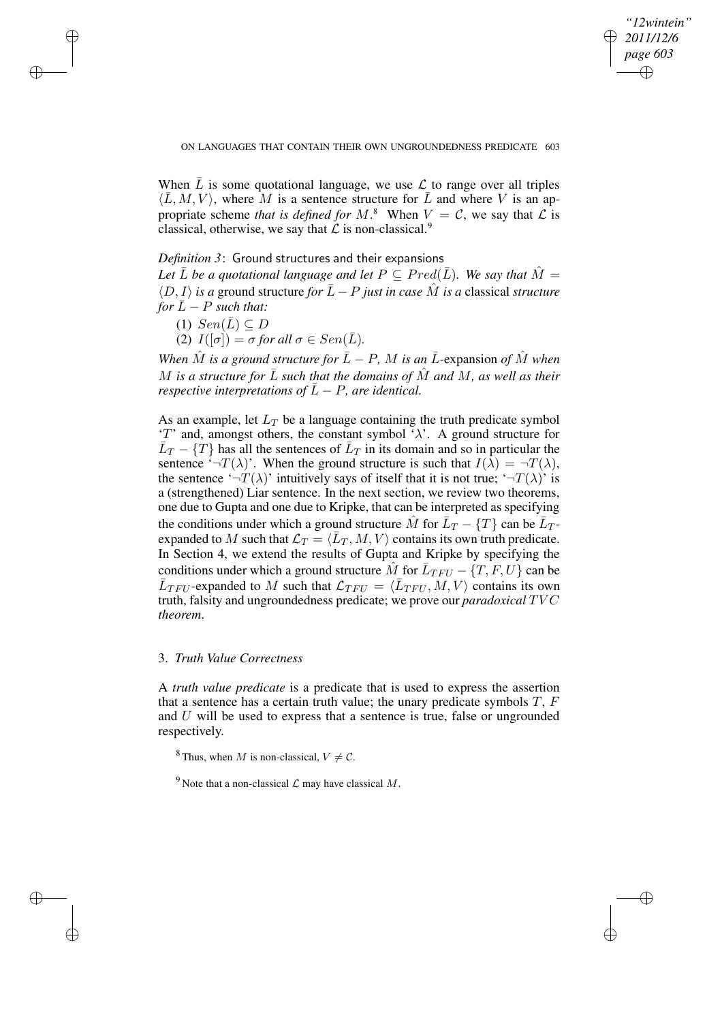✐

When  $\overline{L}$  is some quotational language, we use  $\mathcal L$  to range over all triples  $\langle \overline{L}, M, V \rangle$ , where M is a sentence structure for  $\overline{L}$  and where V is an appropriate scheme *that* is defined for  $M$ .<sup>8</sup> When  $V = C$ , we say that  $\mathcal{L}$  is classical, otherwise, we say that  $\mathcal L$  is non-classical.<sup>9</sup>

## *Definition 3*: Ground structures and their expansions

*Let*  $\overline{L}$  *be a quotational language and let*  $P \subseteq Pred(\overline{L})$ *. We say that*  $\hat{M} =$  $\langle D, I \rangle$  *is a* ground structure *for*  $\overline{L} - P$  *just in case*  $\hat{M}$  *is a* classical *structure for*  $\overline{L} - P$  *such that:* 

(1)  $Sen(\overline{L}) \subseteq D$ 

✐

✐

✐

✐

(2)  $I([\sigma]) = \sigma$  *for all*  $\sigma \in Sen(\overline{L})$ *.* 

*When*  $\hat{M}$  *is a ground structure for*  $\bar{L} - P$ *,*  $M$  *is an*  $\bar{L}$ -expansion *of*  $\hat{M}$  *when* M is a structure for  $\overline{L}$  such that the domains of  $\overline{M}$  and  $M$ , as well as their *respective interpretations of*  $\overline{L} - P$ *, are identical.* 

As an example, let  $L_T$  be a language containing the truth predicate symbol 'T' and, amongst others, the constant symbol ' $\lambda$ '. A ground structure for  $\overline{L}_T - \{T\}$  has all the sentences of  $\overline{L}_T$  in its domain and so in particular the sentence  $\sqrt[-1]{-\Gamma(\lambda)}$ . When the ground structure is such that  $I(\lambda) = -T(\lambda)$ , the sentence ' $\neg T(\lambda)$ ' intuitively says of itself that it is not true; ' $\neg T(\lambda)$ ' is a (strengthened) Liar sentence. In the next section, we review two theorems, one due to Gupta and one due to Kripke, that can be interpreted as specifying the conditions under which a ground structure  $\hat{M}$  for  $\bar{L}_T - \{T\}$  can be  $\bar{L}_T$ expanded to M such that  $\mathcal{L}_T = \langle \bar{L}_T, M, V \rangle$  contains its own truth predicate. In Section 4, we extend the results of Gupta and Kripke by specifying the conditions under which a ground structure  $\hat{M}$  for  $\bar{L}_{TFU} - \{T, F, U\}$  can be  $\overline{L}_{TFU}$ -expanded to M such that  $\mathcal{L}_{TFU} = \langle \overline{L}_{TFU}, M, V \rangle$  contains its own truth, falsity and ungroundedness predicate; we prove our *paradoxical* TV C *theorem*.

# 3. *Truth Value Correctness*

A *truth value predicate* is a predicate that is used to express the assertion that a sentence has a certain truth value; the unary predicate symbols  $T$ ,  $F$ and U will be used to express that a sentence is true, false or ungrounded respectively.

<sup>8</sup> Thus, when M is non-classical,  $V \neq C$ .

<sup>9</sup> Note that a non-classical  $\mathcal L$  may have classical  $M$ .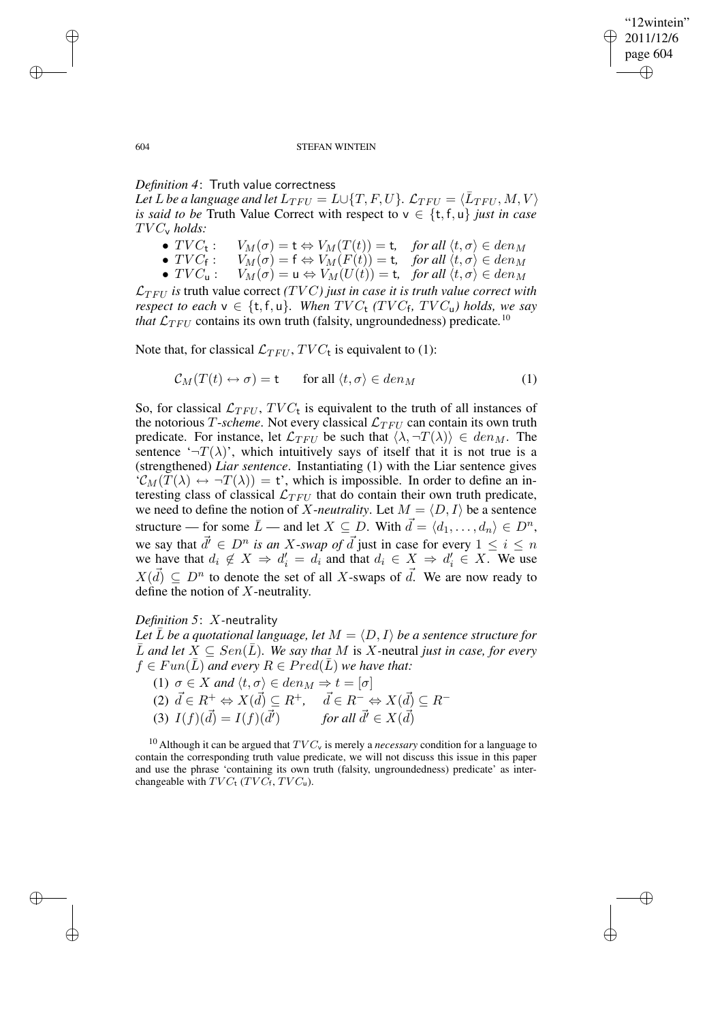✐

### 604 STEFAN WINTEIN

# *Definition 4*: Truth value correctness

Let  $L$  be a language and let  $L_{TFU} = L \cup \{T,F,U\}$ .  $\mathcal{L}_{TFU} = \langle \bar{L}_{TFU}, M, V \rangle$ *is said to be* Truth Value Correct with respect to  $v \in \{t, f, u\}$  *just in case* TV Cv *holds:*

- $TVC_t$ : :  $V_M(\sigma) = \mathsf{t} \Leftrightarrow V_M(T(t)) = \mathsf{t}$ , *for all*  $\langle t, \sigma \rangle \in \text{den}_M$
- $TVC_f$ :<br>•  $TVC_u$ : :  $V_M(\sigma) = \mathsf{f} \Leftrightarrow V_M(F(t)) = \mathsf{t}, \quad \text{for all } \langle t, \sigma \rangle \in \text{den}_M$
- $TVC_u:$   $V_M(\sigma) = u \Leftrightarrow V_M(U(t)) = t$ , for all  $\langle t, \sigma \rangle \in den_M$

 $\mathcal{L}_{TFU}$  is truth value correct *(TVC) just in case it is truth value correct with respect to each*  $v \in \{t, f, u\}$ *. When*  $TVC_t$  *(TVC<sub>f</sub>, TVC<sub>u</sub>) holds, we say that*  $\mathcal{L}_{TFU}$  contains its own truth (falsity, ungroundedness) predicate.<sup>10</sup>

Note that, for classical  $\mathcal{L}_{TFU}$ ,  $TVC_t$  is equivalent to (1):

$$
C_M(T(t) \leftrightarrow \sigma) = t \qquad \text{for all } \langle t, \sigma \rangle \in \text{den}_M \tag{1}
$$

So, for classical  $\mathcal{L}_{TFU}$ ,  $TVC_t$  is equivalent to the truth of all instances of the notorious T-*scheme*. Not every classical  $\mathcal{L}_{TFU}$  can contain its own truth predicate. For instance, let  $\mathcal{L}_{TFU}$  be such that  $\langle \lambda, \neg T(\lambda) \rangle \in \text{den}_M$ . The sentence  $\left(\neg T(\lambda)\right)$ , which intuitively says of itself that it is not true is a (strengthened) *Liar sentence*. Instantiating (1) with the Liar sentence gives  $\mathcal{C}_M(T(\lambda) \leftrightarrow \neg T(\lambda)) = t$ , which is impossible. In order to define an interesting class of classical  $\mathcal{L}_{TFU}$  that do contain their own truth predicate, we need to define the notion of X-*neutrality*. Let  $M = \langle D, I \rangle$  be a sentence structure — for some  $\bar{L}$  — and let  $X \subseteq D$ . With  $\vec{d} = \langle d_1, \ldots, d_n \rangle \in D^n$ , we say that  $\vec{d} \in D^n$  *is an X-swap of*  $\vec{d}$  just in case for every  $1 \leq i \leq n$ we have that  $d_i \notin X \implies d'_i = d_i$  and that  $d_i \in X \implies d'_i \in X$ . We use  $X(\vec{d}) \subseteq D^n$  to denote the set of all X-swaps of  $\vec{d}$ . We are now ready to define the notion of X-neutrality.

# *Definition 5*: X*-*neutrality

*Let*  $\overline{L}$  *be a quotational language, let*  $M = \langle D, I \rangle$  *be a sentence structure for*  $\overline{L}$  *and let*  $X ⊆ Sen(\overline{L})$ *. We say that*  $M$  is  $X$ -neutral *just in case, for every*  $f \in Fun(L)$  *and every*  $R \in Pred(L)$  *we have that:* 

(1)  $\sigma \in X$  *and*  $\langle t, \sigma \rangle \in \text{den}_M \Rightarrow t = [\sigma]$ 

(2) 
$$
\vec{d} \in R^+ \Leftrightarrow X(\vec{d}) \subseteq R^+, \quad \vec{d} \in R^- \Leftrightarrow X(\vec{d}) \subseteq R^-
$$
  
(3)  $I(f)(\vec{d}) = I(f)(\vec{d'})$  for all  $\vec{d'} \in X(\vec{d})$ 

<sup>10</sup> Although it can be argued that  $TVC_v$  is merely a *necessary* condition for a language to contain the corresponding truth value predicate, we will not discuss this issue in this paper and use the phrase 'containing its own truth (falsity, ungroundedness) predicate' as interchangeable with  $TVC_t$  (TV $C_t$ , TV $C_u$ ).

✐

✐

✐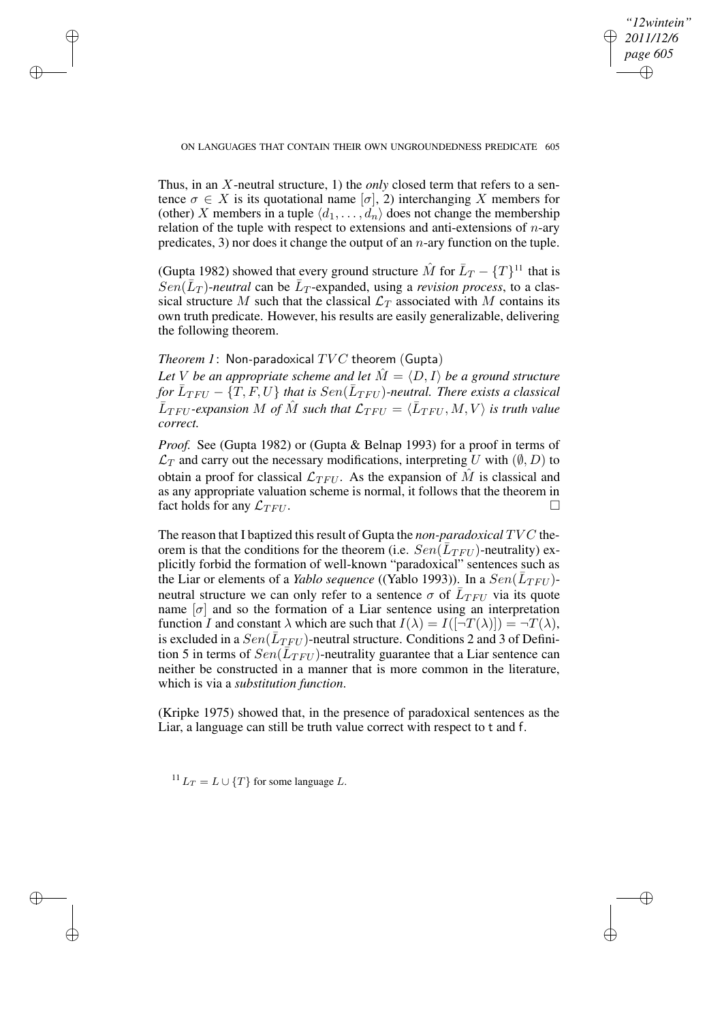✐

### ON LANGUAGES THAT CONTAIN THEIR OWN UNGROUNDEDNESS PREDICATE 605

Thus, in an X-neutral structure, 1) the *only* closed term that refers to a sentence  $\sigma \in X$  is its quotational name  $[\sigma]$ , 2) interchanging X members for (other) X members in a tuple  $\langle d_1, \ldots, d_n \rangle$  does not change the membership relation of the tuple with respect to extensions and anti-extensions of  $n$ -ary predicates, 3) nor does it change the output of an  $n$ -ary function on the tuple.

(Gupta 1982) showed that every ground structure  $\hat{M}$  for  $\bar{L}_T - \{T\}^{11}$  that is  $Sen(\bar{L}_T)$ -neutral can be  $\bar{L}_T$ -expanded, using a *revision process*, to a classical structure M such that the classical  $\mathcal{L}_T$  associated with M contains its own truth predicate. However, his results are easily generalizable, delivering the following theorem.

*Theorem 1*: Non*-*paradoxical TV C theorem (Gupta)

✐

✐

✐

✐

*Let V be an appropriate scheme and let*  $\hat{M} = \langle D, I \rangle$  *be a ground structure* for  $\bar{L}_{TFU}$  –  $\{\hat{T},\hat{F},U\}$  that is  $Sen(\bar{L}_{TFU})$ -neutral. There exists a classical  $\bar{L}_{TFU}$ -expansion M of  $\hat{M}$  such that  $\mathcal{L}_{TFU} = \langle \bar{L}_{TFU}, M, V \rangle$  is truth value *correct.*

*Proof.* See (Gupta 1982) or (Gupta & Belnap 1993) for a proof in terms of  $\mathcal{L}_T$  and carry out the necessary modifications, interpreting U with  $(\emptyset, D)$  to obtain a proof for classical  $\mathcal{L}_{TFU}$ . As the expansion of M is classical and as any appropriate valuation scheme is normal, it follows that the theorem in fact holds for any  $\mathcal{L}_{TFU}$ .

The reason that I baptized this result of Gupta the *non-paradoxical* TVC theorem is that the conditions for the theorem (i.e.  $Sen(\overline{L}_{TFU})$ -neutrality) explicitly forbid the formation of well-known "paradoxical" sentences such as the Liar or elements of a *Yablo sequence* ((Yablo 1993)). In a  $Sen(\bar{L}_{TFU})$ neutral structure we can only refer to a sentence  $\sigma$  of  $\bar{L}_{TFU}$  via its quote name  $[\sigma]$  and so the formation of a Liar sentence using an interpretation function I and constant  $\lambda$  which are such that  $I(\lambda) = I(\lceil \neg T(\lambda) \rceil) = \neg T(\lambda)$ , is excluded in a  $Sen(\bar{L}_{TFU})$ -neutral structure. Conditions 2 and 3 of Definition 5 in terms of  $\overline{Sen}(\overline{L}_{TFU})$ -neutrality guarantee that a Liar sentence can neither be constructed in a manner that is more common in the literature, which is via a *substitution function*.

(Kripke 1975) showed that, in the presence of paradoxical sentences as the Liar, a language can still be truth value correct with respect to t and f.

<sup>11</sup>L<sub>T</sub> = L ∪ {T} for some language L.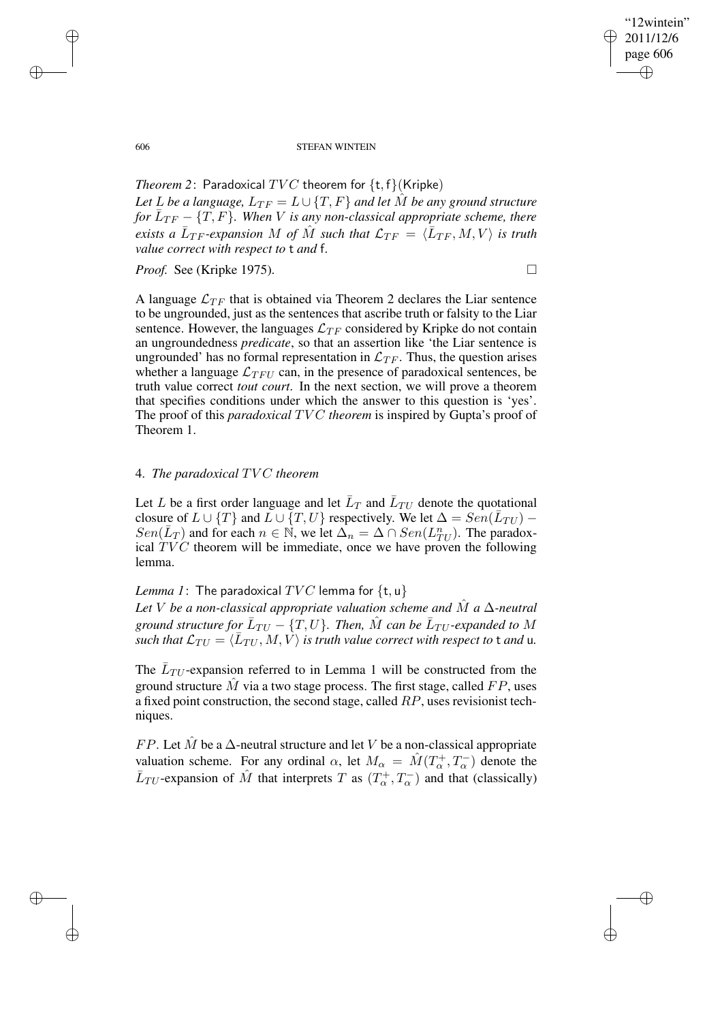✐

#### 606 STEFAN WINTEIN

*Theorem* 2: Paradoxical  $TVC$  theorem for  $\{t, f\}$  (Kripke) *Let L be a language,*  $L_{TF} = L \cup \{T, F\}$  *and let*  $\hat{M}$  *be any ground structure for*  $\overline{L}_{TF} - \{T, F\}$ . When V is any non-classical appropriate scheme, there exists a  $\bar{L}_{TF}$ -expansion M of  $\hat{M}$  such that  $\mathcal{L}_{TF} \,=\, \langle \bar{L}_{TF}, M, V \rangle$  is truth *value correct with respect to* t *and* f*.*

*Proof.* See (Kripke 1975). □

A language  $\mathcal{L}_{TF}$  that is obtained via Theorem 2 declares the Liar sentence to be ungrounded, just as the sentences that ascribe truth or falsity to the Liar sentence. However, the languages  $\mathcal{L}_{TF}$  considered by Kripke do not contain an ungroundedness *predicate*, so that an assertion like 'the Liar sentence is ungrounded' has no formal representation in  $\mathcal{L}_{TF}$ . Thus, the question arises whether a language  $\mathcal{L}_{TFU}$  can, in the presence of paradoxical sentences, be truth value correct *tout court*. In the next section, we will prove a theorem that specifies conditions under which the answer to this question is 'yes'. The proof of this *paradoxical TVC theorem* is inspired by Gupta's proof of Theorem 1.

# 4. *The paradoxical* TV C *theorem*

Let L be a first order language and let  $\bar{L}_T$  and  $\bar{L}_{TU}$  denote the quotational closure of  $L \cup \{T\}$  and  $\overline{L} \cup \{T, U\}$  respectively. We let  $\Delta = Sen(\overline{L}_{TU})$  –  $Sen(\overline{L}_T)$  and for each  $n \in \mathbb{N}$ , we let  $\overline{\Delta}_n = \Delta \cap Sen(L_{TU}^n)$ . The paradoxical  $TVC$  theorem will be immediate, once we have proven the following lemma.

## *Lemma 1*: The paradoxical  $TVC$  lemma for  $\{t, u\}$

*Let* V *be a non-classical appropriate valuation scheme and* Mˆ *a* ∆*-neutral* ground structure for  $\bar{L}_{TU} - \{T,U\}$ . Then,  $\hat{M}$  can be  $\bar{L}_{TU}$ -expanded to  $M$  $\overline{\text{Such that}}$   $\mathcal{L}_{TU} = \langle \overline{L}_{TU}, M, V \rangle$  is *truth* value correct with respect to t and u.

The  $\bar{L}_{TU}$ -expansion referred to in Lemma 1 will be constructed from the ground structure  $\hat{M}$  via a two stage process. The first stage, called FP, uses a fixed point construction, the second stage, called RP, uses revisionist techniques.

FP. Let  $\tilde{M}$  be a  $\Delta$ -neutral structure and let V be a non-classical appropriate valuation scheme. For any ordinal  $\alpha$ , let  $M_{\alpha} = \hat{M}(T_{\alpha}^+, T_{\alpha}^-)$  denote the  $\bar{L}_{TU}$ -expansion of  $\hat{M}$  that interprets T as  $(T_{\alpha}^{+}, T_{\alpha}^{-})$  and that (classically)

✐

✐

✐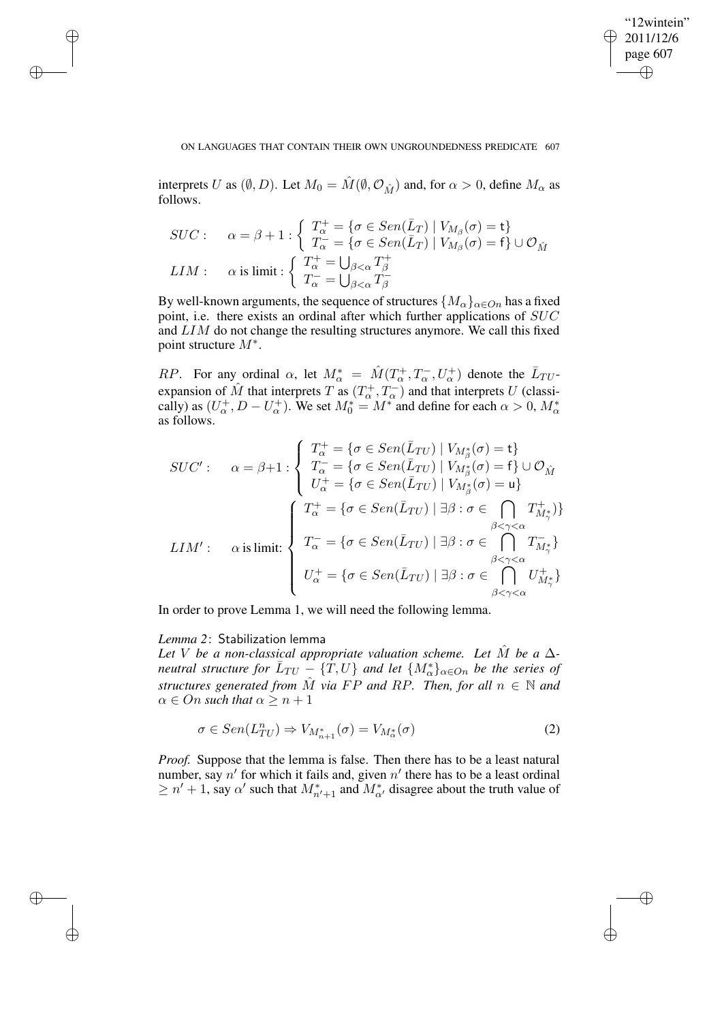✐

### ON LANGUAGES THAT CONTAIN THEIR OWN UNGROUNDEDNESS PREDICATE 607

interprets U as  $(\emptyset, D)$ . Let  $M_0 = \hat{M}(\emptyset, \mathcal{O}_{\hat{M}})$  and, for  $\alpha > 0$ , define  $M_\alpha$  as follows.

$$
SUC: \quad \alpha = \beta + 1 : \begin{cases} T_{\alpha}^{+} = \{ \sigma \in Sen(\bar{L}_{T}) \mid V_{M_{\beta}}(\sigma) = \mathbf{t} \} \\ T_{\alpha}^{-} = \{ \sigma \in Sen(\bar{L}_{T}) \mid V_{M_{\beta}}(\sigma) = \mathbf{f} \} \cup \mathcal{O}_{\hat{M}} \end{cases}
$$

$$
LIM: \quad \alpha \text{ is limit} : \begin{cases} T_{\alpha}^{+} = \bigcup_{\beta < \alpha} T_{\beta}^{+} \\ T_{\alpha}^{-} = \bigcup_{\beta < \alpha} T_{\beta}^{-} \end{cases}
$$

By well-known arguments, the sequence of structures  $\{M_{\alpha}\}_{{\alpha}\in On}$  has a fixed point, i.e. there exists an ordinal after which further applications of SUC and LIM do not change the resulting structures anymore. We call this fixed point structure  $M^*$ .

RP. For any ordinal  $\alpha$ , let  $M^*_{\alpha} = \hat{M}(T^+_{\alpha}, T^-_{\alpha}, U^+_{\alpha})$  denote the  $\bar{L}_{TU}$ expansion of  $\hat{M}$  that interprets T as  $(T_{\alpha}^+, T_{\alpha}^-)$  and that interprets U (classically) as  $(U^+_\alpha, D - U^+_\alpha)$ . We set  $M^*_{0} = M^*$  and define for each  $\alpha > 0$ ,  $M^*_{\alpha}$ as follows.

$$
SUC': \quad \alpha = \beta + 1 : \begin{cases} T_{\alpha}^{+} = \{ \sigma \in Sen(\bar{L}_{TU}) \mid V_{M_{\beta}^{*}}(\sigma) = \mathbf{t} \} \\ T_{\alpha}^{-} = \{ \sigma \in Sen(\bar{L}_{TU}) \mid V_{M_{\beta}^{*}}(\sigma) = \mathbf{f} \} \cup \mathcal{O}_{\hat{M}} \\ U_{\alpha}^{+} = \{ \sigma \in Sen(\bar{L}_{TU}) \mid V_{M_{\beta}^{*}}(\sigma) = \mathbf{u} \} \end{cases}
$$

$$
LIM': \quad \alpha \text{ is limit: } \begin{cases} T_{\alpha}^{+} = \{ \sigma \in Sen(\bar{L}_{TU}) \mid \exists \beta : \sigma \in \bigcap_{\beta < \gamma < \alpha \\ T_{\alpha}^{-} = \{ \sigma \in Sen(\bar{L}_{TU}) \mid \exists \beta : \sigma \in \bigcap_{\beta < \gamma < \alpha \\ \beta < \gamma < \alpha \end{cases} \begin{cases} T_{\alpha}^{+} = \{ \sigma \in Sen(\bar{L}_{TU}) \mid \exists \beta : \sigma \in \bigcap_{\beta < \gamma < \alpha \\ \gamma < \gamma < \alpha \\ U_{\alpha}^{+} = \{ \sigma \in Sen(\bar{L}_{TU}) \mid \exists \beta : \sigma \in \bigcap_{\beta < \gamma < \alpha \\ \beta < \gamma < \alpha \end{cases} \begin{cases} T_{M_{\gamma}^{+}}^{+} \} \\ U_{M_{\gamma}^{+}}^{+} \end{cases}
$$

In order to prove Lemma 1, we will need the following lemma.

# *Lemma 2*: Stabilization lemma

✐

✐

✐

✐

*Let V be a non-classical appropriate valuation scheme. Let*  $\hat{M}$  *be a*  $\Delta$ *neutral structure for*  $\overline{L}_{TU} = \{T, U\}$  *and let*  $\{M_{\alpha}^{*}\}_{\alpha \in On}$  *be the series of structures* generated from  $\hat{M}$  via FP and RP. Then, for all  $n \in \mathbb{N}$  and  $\alpha \in On$  *such that*  $\alpha \geq n+1$ 

$$
\sigma \in Sen(L_{TU}^n) \Rightarrow V_{M_{n+1}^*}(\sigma) = V_{M_{\alpha}^*}(\sigma) \tag{2}
$$

*Proof.* Suppose that the lemma is false. Then there has to be a least natural number, say  $n'$  for which it fails and, given  $n'$  there has to be a least ordinal  $\geq n' + 1$ , say  $\alpha'$  such that  $M^*_{n'+1}$  and  $M^*_{\alpha'}$  disagree about the truth value of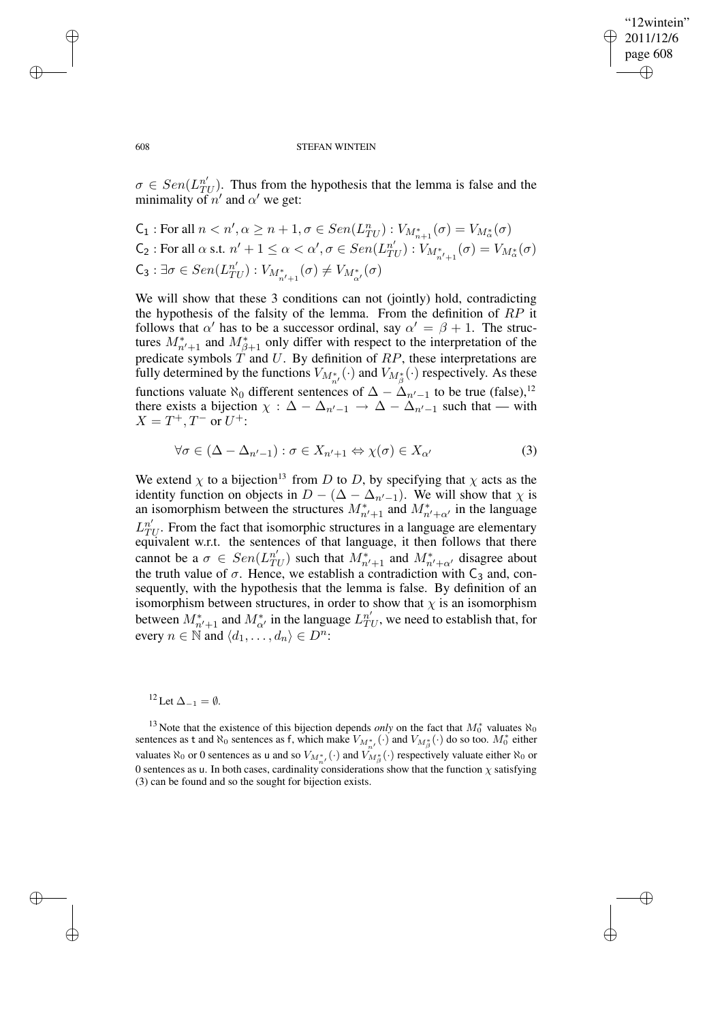✐

#### 608 STEFAN WINTEIN

 $\sigma \in Sen(L_{T_i}^{n'}$  $T(U)$ . Thus from the hypothesis that the lemma is false and the minimality of  $n'$  and  $\alpha'$  we get:

C<sub>1</sub>: For all 
$$
n < n', \alpha \ge n + 1, \sigma \in \text{Sen}(L_{TU}^n) : V_{M_{n+1}^*}(\sigma) = V_{M_{\alpha}^*}(\sigma)
$$
  
\nC<sub>2</sub>: For all  $\alpha$  s.t.  $n' + 1 \le \alpha < \alpha', \sigma \in \text{Sen}(L_{TU}^{n'}) : V_{M_{n'+1}^*}(\sigma) = V_{M_{\alpha}^*}(\sigma)$   
\nC<sub>3</sub>:  $\exists \sigma \in \text{Sen}(L_{TU}^{n'}) : V_{M_{n'+1}^*}(\sigma) \ne V_{M_{\alpha'}^*}(\sigma)$ 

We will show that these 3 conditions can not (jointly) hold, contradicting the hypothesis of the falsity of the lemma. From the definition of  $RP$  it follows that  $\alpha'$  has to be a successor ordinal, say  $\alpha' = \beta + 1$ . The structures  $M_{n'+1}^*$  and  $M_{\beta+1}^*$  only differ with respect to the interpretation of the predicate symbols  $T$  and  $U$ . By definition of  $RP$ , these interpretations are fully determined by the functions  $V_{M_{n'}^*}(\cdot)$  and  $V_{M_{\beta}^*}(\cdot)$  respectively. As these functions valuate  $\aleph_0$  different sentences of  $\Delta - \Delta_{n'-1}$  to be true (false),<sup>12</sup> there exists a bijection  $\chi : \Delta - \Delta_{n'-1} \to \Delta - \Delta_{n'-1}$  such that — with  $X = T^+, T^- \text{ or } U^+$ :

$$
\forall \sigma \in (\Delta - \Delta_{n'-1}) : \sigma \in X_{n'+1} \Leftrightarrow \chi(\sigma) \in X_{\alpha'} \tag{3}
$$

We extend  $\chi$  to a bijection<sup>13</sup> from D to D, by specifying that  $\chi$  acts as the identity function on objects in  $D - (\Delta - \Delta_{n'-1})$ . We will show that  $\chi$  is an isomorphism between the structures  $M_{n'+1}^*$  and  $M_{n'+\alpha'}^*$  in the language  $L_T^{n'}$  $T_U^n$ . From the fact that isomorphic structures in a language are elementary equivalent w.r.t. the sentences of that language, it then follows that there cannot be a  $\sigma \in \text{Sen}(L_{\text{tri}}^{n'})$  $T(U)$  such that  $M^*_{n'+1}$  and  $M^*_{n'+\alpha'}$  disagree about the truth value of  $\sigma$ . Hence, we establish a contradiction with  $C_3$  and, consequently, with the hypothesis that the lemma is false. By definition of an isomorphism between structures, in order to show that  $\chi$  is an isomorphism between  $M_{n'+1}^*$  and  $M_{\alpha'}^*$  in the language  $L_{Tl}^{n'}$  $T_U^n$ , we need to establish that, for every  $n \in \mathbb{N}$  and  $\langle d_1, \ldots, d_n \rangle \in D^n$ :

# $12$  Let  $\Delta_{-1} = \emptyset$ .

<sup>13</sup> Note that the existence of this bijection depends *only* on the fact that  $M_0^*$  valuates  $\aleph_0$ sentences as t and  $\aleph_0$  sentences as f, which make  $V_{M^*_{n'}}(\cdot)$  and  $V_{M^*_{\beta}}(\cdot)$  do so too.  $M^*_{0}$  either valuates  $\aleph_0$  or 0 sentences as u and so  $V_{M^*_{n'}}(\cdot)$  and  $V_{M^*_{\beta}}(\cdot)$  respectively valuate either  $\aleph_0$  or 0 sentences as u. In both cases, cardinality considerations show that the function  $\chi$  satisfying (3) can be found and so the sought for bijection exists.

✐

✐

✐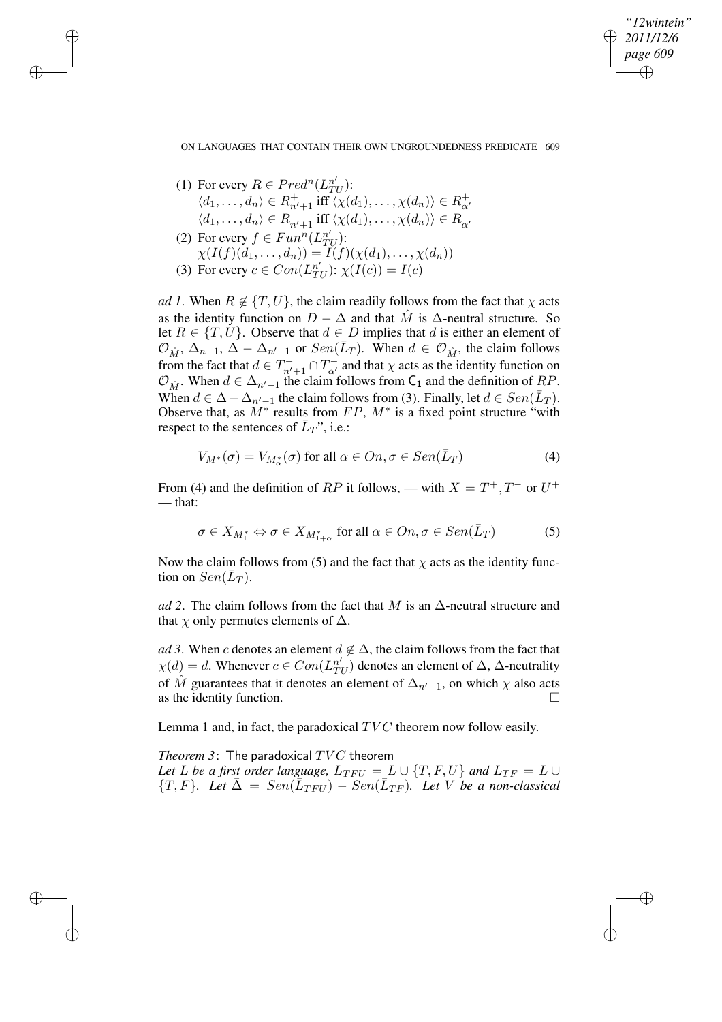*"12wintein" 2011/12/6 page 609* ✐ ✐

✐

✐

ON LANGUAGES THAT CONTAIN THEIR OWN UNGROUNDEDNESS PREDICATE 609

(1) For every  $R \in Pred^n(L_T^{n'})$  $_{TU}^{n^{\prime}})$ :  $\langle d_1,\ldots,d_n\rangle\in R_{n'+1}^+ \text{ iff } \langle \chi(d_1),\ldots,\chi(d_n)\rangle\in R_{\alpha'}^+$  $\langle d_1,\ldots,d_n\rangle\in R_{n'+1}^{-}$  iff  $\langle \chi(d_1),\ldots,\chi(d_n)\rangle\in R_{\alpha'}^{-}$ (2) For every  $f \in Fun^n(L_{T_i}^{n'}$  $_{TU}^n$ ):  $\chi(I(f)(d_1, ..., d_n)) = I(f)(\chi(d_1), ..., \chi(d_n))$ (3) For every  $c \in Con(L_{T_1}^{n'})$  $T_U^n$ ):  $\chi(I(c)) = I(c)$ 

✐

✐

✐

✐

*ad* 1. When  $R \notin \{T, U\}$ , the claim readily follows from the fact that  $\chi$  acts as the identity function on  $D - \Delta$  and that  $\hat{M}$  is  $\Delta$ -neutral structure. So let  $R \in \{T, U\}$ . Observe that  $d \in D$  implies that d is either an element of  $\mathcal{O}_{\hat{M}}$ ,  $\Delta_{n-1}$ ,  $\Delta - \Delta_{n'-1}$  or  $Sen(\bar{L}_T)$ . When  $d \in \mathcal{O}_{\hat{M}}$ , the claim follows from the fact that  $d \in T_{n'+1}^- \cap T_{\alpha'}^-$  and that  $\chi$  acts as the identity function on  $\mathcal{O}_{\hat{M}}$ . When  $d \in \Delta_{n'-1}$  the claim follows from C<sub>1</sub> and the definition of RP. When  $d \in \Delta - \Delta_{n'-1}$  the claim follows from (3). Finally, let  $d \in Sen(\bar{L}_T)$ . Observe that, as  $M^*$  results from  $FP$ ,  $M^*$  is a fixed point structure "with respect to the sentences of  $\bar{L}_T$ ", i.e.:

$$
V_{M^*}(\sigma) = V_{M^*_{\alpha}}(\sigma) \text{ for all } \alpha \in On, \sigma \in Sen(\bar{L}_T)
$$
 (4)

From (4) and the definition of RP it follows, — with  $X = T^+, T^-$  or  $U^+$ — that:

$$
\sigma \in X_{M_1^*} \Leftrightarrow \sigma \in X_{M_{1+\alpha}^*} \text{ for all } \alpha \in On, \sigma \in Sen(\bar{L}_T) \tag{5}
$$

Now the claim follows from (5) and the fact that  $\chi$  acts as the identity function on  $Sen(\bar{L}_T)$ .

*ad* 2. The claim follows from the fact that M is an  $\Delta$ -neutral structure and that  $\chi$  only permutes elements of  $\Delta$ .

*ad* 3. When c denotes an element  $d \notin \Delta$ , the claim follows from the fact that  $\chi(d) = d$ . Whenever  $c \in Con(L_{Tl}^{n'}$  $T_U^{n'}$ ) denotes an element of  $\Delta$ ,  $\Delta$ -neutrality of  $\hat{M}$  guarantees that it denotes an element of  $\Delta_{n'-1}$ , on which  $\chi$  also acts as the identity function.

Lemma 1 and, in fact, the paradoxical  $TVC$  theorem now follow easily.

*Theorem* 3: The paradoxical  $TVC$  theorem *Let L be a first order language*,  $L_{TFU} = L \cup \{T, F, U\}$  *and*  $L_{TF} = L \cup$  ${T, F}$ *. Let*  $\bar{\Delta} = Sen(\bar{L}_{TFU}) - Sen(\bar{L}_{TF})$ *. Let* V *be a non-classical*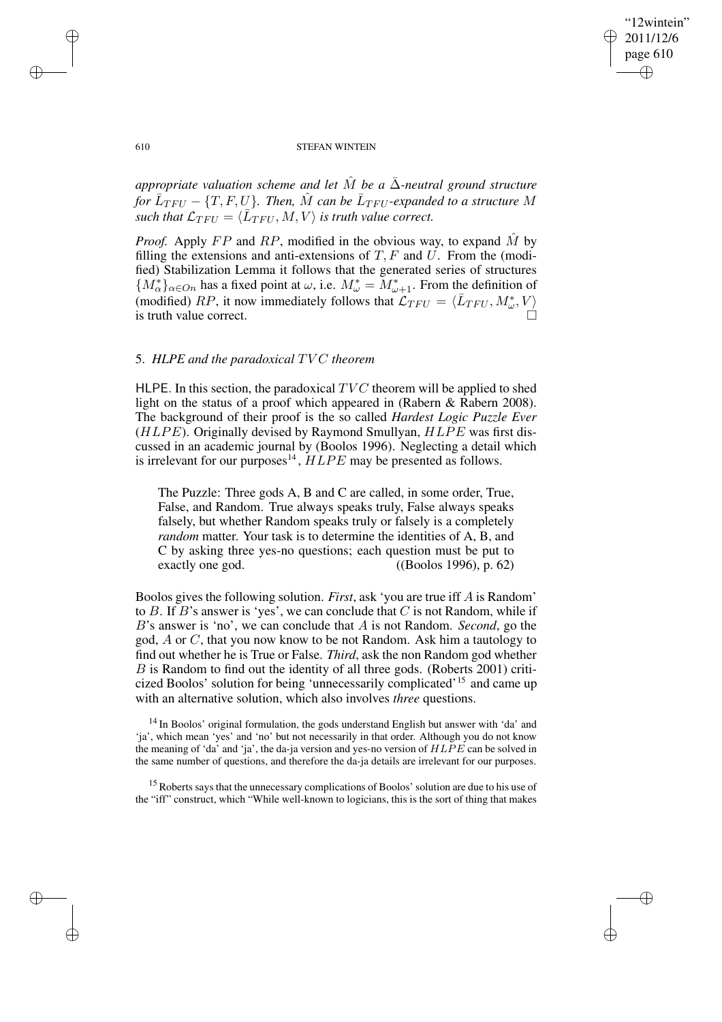## "12wintein" 2011/12/6 page 610 ✐ ✐

✐

✐

### 610 STEFAN WINTEIN

*appropriate valuation scheme and* let  $\hat{M}$  be a  $\bar{\Delta}$ -neutral ground *structure* for  $\bar{L}_{TFU}$  –  $\{T, F, U\}$ . Then,  $\hat{M}$  can be  $\bar{L}_{TFU}$ -expanded to a structure  $M$ such that  $\mathcal{L}_{TFU} = \langle \bar{L}_{TFU}, M, V \rangle$  is *truth* value correct.

*Proof.* Apply  $FP$  and  $RP$ , modified in the obvious way, to expand  $M$  by filling the extensions and anti-extensions of  $T$ ,  $F$  and  $U$ . From the (modified) Stabilization Lemma it follows that the generated series of structures  ${M^*_{\alpha}}_{\alpha\in On}$  has a fixed point at  $\omega$ , i.e.  $M^*_{\omega} = M^*_{\omega+1}$ . From the definition of (modified) RP, it now immediately follows that  $\mathcal{L}_{TFU} = \langle \bar{L}_{TFU}, M^*_{\omega}, V \rangle$ is truth value correct.

# 5. *HLPE and the paradoxical* TV C *theorem*

HLPE. In this section, the paradoxical  $TVC$  theorem will be applied to shed light on the status of a proof which appeared in (Rabern & Rabern 2008). The background of their proof is the so called *Hardest Logic Puzzle Ever*  $(HLPE)$ . Originally devised by Raymond Smullyan,  $HLPE$  was first discussed in an academic journal by (Boolos 1996). Neglecting a detail which is irrelevant for our purposes<sup>14</sup>,  $HLPE$  may be presented as follows.

The Puzzle: Three gods A, B and C are called, in some order, True, False, and Random. True always speaks truly, False always speaks falsely, but whether Random speaks truly or falsely is a completely *random* matter. Your task is to determine the identities of A, B, and C by asking three yes-no questions; each question must be put to exactly one god. ((Boolos 1996), p. 62)

Boolos gives the following solution. *First*, ask 'you are true iff A is Random' to  $B$ . If  $B$ 's answer is 'yes', we can conclude that  $C$  is not Random, while if B's answer is 'no', we can conclude that A is not Random. *Second*, go the god, A or C, that you now know to be not Random. Ask him a tautology to find out whether he is True or False. *Third*, ask the non Random god whether B is Random to find out the identity of all three gods. (Roberts 2001) criticized Boolos' solution for being 'unnecessarily complicated'<sup>15</sup> and came up with an alternative solution, which also involves *three* questions.

<sup>14</sup> In Boolos' original formulation, the gods understand English but answer with 'da' and 'ja', which mean 'yes' and 'no' but not necessarily in that order. Although you do not know the meaning of 'da' and 'ja', the da-ja version and yes-no version of HLPE can be solved in the same number of questions, and therefore the da-ja details are irrelevant for our purposes.

<sup>15</sup> Roberts says that the unnecessary complications of Boolos' solution are due to his use of the "iff" construct, which "While well-known to logicians, this is the sort of thing that makes

✐

✐

✐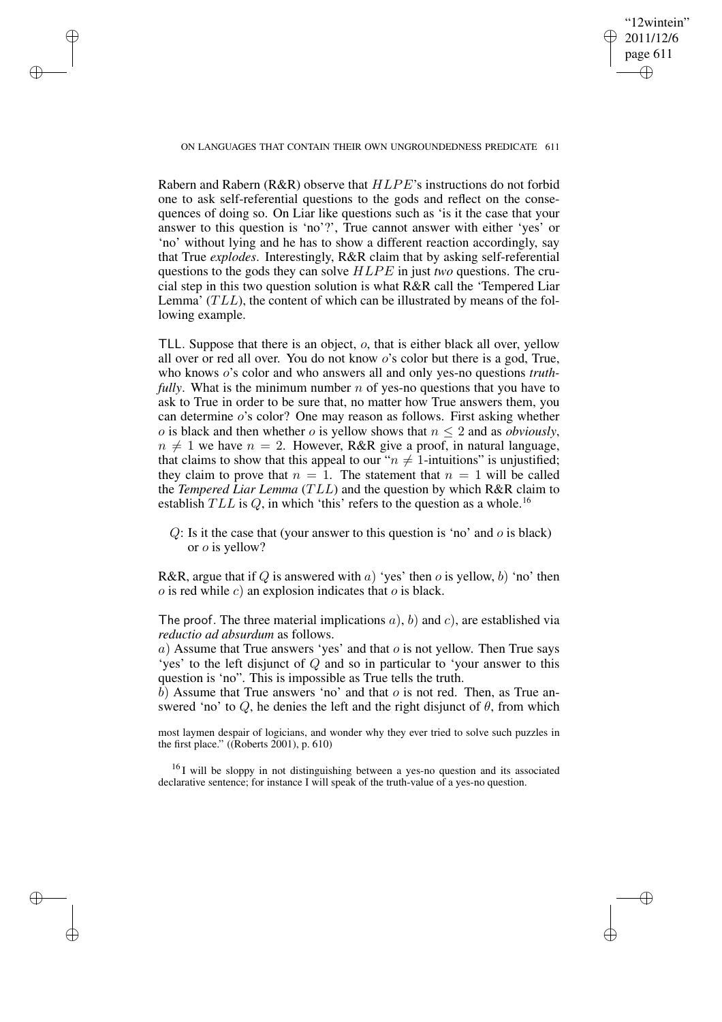ON LANGUAGES THAT CONTAIN THEIR OWN UNGROUNDEDNESS PREDICATE 611

✐

✐

✐

✐

"12wintein" 2011/12/6 page 611

✐

✐

✐

✐

Rabern and Rabern (R&R) observe that HLPE's instructions do not forbid one to ask self-referential questions to the gods and reflect on the consequences of doing so. On Liar like questions such as 'is it the case that your answer to this question is 'no'?', True cannot answer with either 'yes' or 'no' without lying and he has to show a different reaction accordingly, say that True *explodes*. Interestingly, R&R claim that by asking self-referential questions to the gods they can solve HLPE in just *two* questions. The crucial step in this two question solution is what R&R call the 'Tempered Liar Lemma'  $(TLL)$ , the content of which can be illustrated by means of the following example.

TLL. Suppose that there is an object, o, that is either black all over, yellow all over or red all over. You do not know o's color but there is a god, True, who knows o's color and who answers all and only yes-no questions *truthfully*. What is the minimum number n of yes-no questions that you have to ask to True in order to be sure that, no matter how True answers them, you can determine o's color? One may reason as follows. First asking whether *o* is black and then whether *o* is yellow shows that  $n \leq 2$  and as *obviously*,  $n \neq 1$  we have  $n = 2$ . However, R&R give a proof, in natural language, that claims to show that this appeal to our " $n \neq 1$ -intuitions" is unjustified; they claim to prove that  $n = 1$ . The statement that  $n = 1$  will be called the *Tempered Liar Lemma* (TLL) and the question by which R&R claim to establish  $TLL$  is Q, in which 'this' refers to the question as a whole.<sup>16</sup>

 $Q$ : Is it the case that (your answer to this question is 'no' and  $o$  is black) or o is yellow?

R&R, argue that if Q is answered with a) 'yes' then  $o$  is yellow,  $b$ ) 'no' then  $o$  is red while  $c$ ) an explosion indicates that  $o$  is black.

The proof. The three material implications  $a$ ),  $b$ ) and  $c$ ), are established via *reductio ad absurdum* as follows.

a) Assume that True answers 'yes' and that  $o$  is not yellow. Then True says 'yes' to the left disjunct of Q and so in particular to 'your answer to this question is 'no". This is impossible as True tells the truth.

b) Assume that True answers 'no' and that  $o$  is not red. Then, as True answered 'no' to Q, he denies the left and the right disjunct of  $\theta$ , from which

most laymen despair of logicians, and wonder why they ever tried to solve such puzzles in the first place." ((Roberts 2001), p. 610)

<sup>16</sup>I will be sloppy in not distinguishing between a yes-no question and its associated declarative sentence; for instance I will speak of the truth-value of a yes-no question.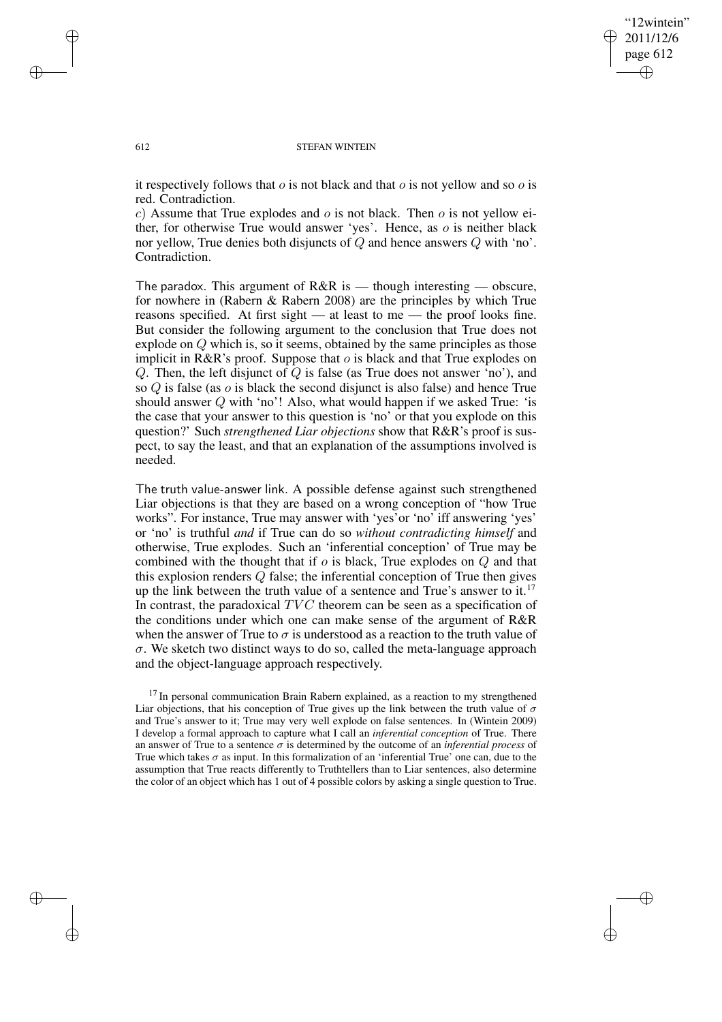✐

### 612 STEFAN WINTEIN

it respectively follows that  $\sigma$  is not black and that  $\sigma$  is not yellow and so  $\sigma$  is red. Contradiction.

c) Assume that True explodes and  $\sigma$  is not black. Then  $\sigma$  is not yellow either, for otherwise True would answer 'yes'. Hence, as  $\sigma$  is neither black nor yellow, True denies both disjuncts of Q and hence answers Q with 'no'. Contradiction.

The paradox. This argument of R&R is — though interesting — obscure, for nowhere in (Rabern & Rabern 2008) are the principles by which True reasons specified. At first sight — at least to me — the proof looks fine. But consider the following argument to the conclusion that True does not explode on Q which is, so it seems, obtained by the same principles as those implicit in R&R's proof. Suppose that  $o$  is black and that True explodes on Q. Then, the left disjunct of Q is false (as True does not answer 'no'), and so  $Q$  is false (as  $o$  is black the second disjunct is also false) and hence True should answer  $Q$  with 'no'! Also, what would happen if we asked True: 'is the case that your answer to this question is 'no' or that you explode on this question?' Such *strengthened Liar objections* show that R&R's proof is suspect, to say the least, and that an explanation of the assumptions involved is needed.

The truth value-answer link. A possible defense against such strengthened Liar objections is that they are based on a wrong conception of "how True works". For instance, True may answer with 'yes'or 'no' iff answering 'yes' or 'no' is truthful *and* if True can do so *without contradicting himself* and otherwise, True explodes. Such an 'inferential conception' of True may be combined with the thought that if  $\sigma$  is black, True explodes on  $Q$  and that this explosion renders Q false; the inferential conception of True then gives up the link between the truth value of a sentence and True's answer to it.<sup>17</sup> In contrast, the paradoxical  $TVC$  theorem can be seen as a specification of the conditions under which one can make sense of the argument of R&R when the answer of True to  $\sigma$  is understood as a reaction to the truth value of  $\sigma$ . We sketch two distinct ways to do so, called the meta-language approach and the object-language approach respectively.

<sup>17</sup> In personal communication Brain Rabern explained, as a reaction to my strengthened Liar objections, that his conception of True gives up the link between the truth value of  $\sigma$ and True's answer to it; True may very well explode on false sentences. In (Wintein 2009) I develop a formal approach to capture what I call an *inferential conception* of True. There an answer of True to a sentence σ is determined by the outcome of an *inferential process* of True which takes  $\sigma$  as input. In this formalization of an 'inferential True' one can, due to the assumption that True reacts differently to Truthtellers than to Liar sentences, also determine the color of an object which has 1 out of 4 possible colors by asking a single question to True.

✐

✐

✐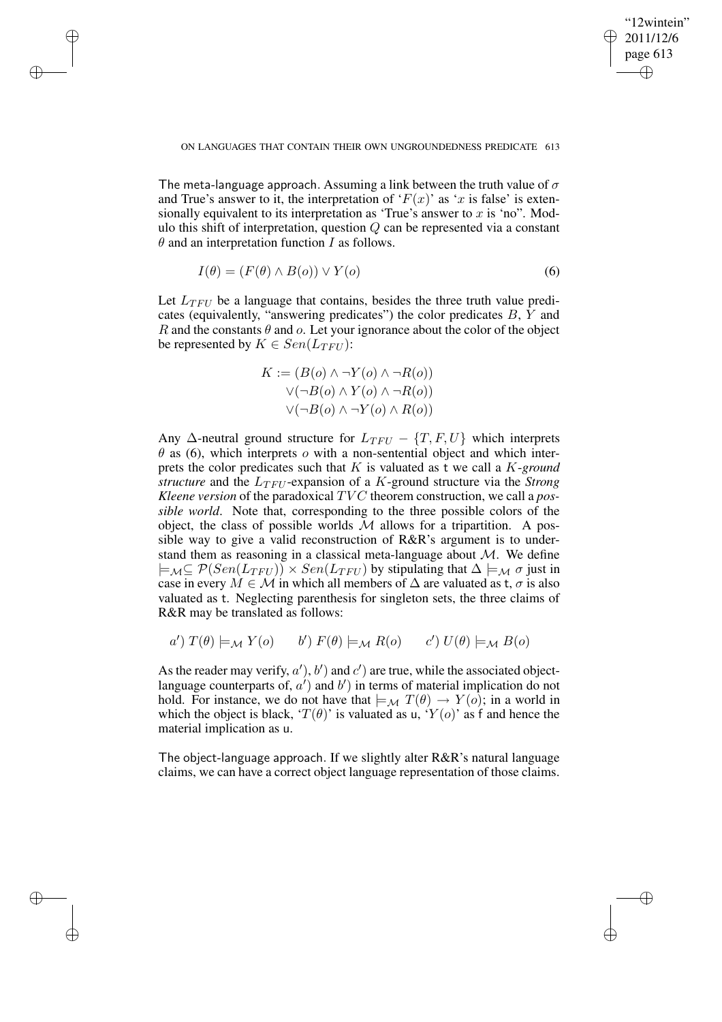✐

✐

✐

✐

✐

The meta-language approach. Assuming a link between the truth value of  $\sigma$ and True's answer to it, the interpretation of ' $F(x)$ ' as 'x is false' is extensionally equivalent to its interpretation as 'True's answer to x is 'no". Modulo this shift of interpretation, question  $Q$  can be represented via a constant  $\theta$  and an interpretation function I as follows.

$$
I(\theta) = (F(\theta) \land B(o)) \lor Y(o)
$$
\n(6)

Let  $L_{TFU}$  be a language that contains, besides the three truth value predicates (equivalently, "answering predicates") the color predicates  $B, Y$  and R and the constants  $\theta$  and  $\alpha$ . Let your ignorance about the color of the object be represented by  $K \in Sen(L_{TFU})$ :

$$
K := (B(o) \land \neg Y(o) \land \neg R(o))
$$
  
 
$$
\lor (\neg B(o) \land Y(o) \land \neg R(o))
$$
  
 
$$
\lor (\neg B(o) \land \neg Y(o) \land R(o))
$$

Any  $\Delta$ -neutral ground structure for  $L_{TFU} - \{T, F, U\}$  which interprets  $\theta$  as (6), which interprets  $\phi$  with a non-sentential object and which interprets the color predicates such that K is valuated as t we call a K-*ground structure* and the  $L_{TFU}$ -expansion of a K-ground structure via the *Strong Kleene version* of the paradoxical TV C theorem construction, we call a *possible world*. Note that, corresponding to the three possible colors of the object, the class of possible worlds  $M$  allows for a tripartition. A possible way to give a valid reconstruction of R&R's argument is to understand them as reasoning in a classical meta-language about  $\mathcal{M}$ . We define  $\models_{\mathcal{M}} \subseteq \mathcal{P}(Sen(L_{TFU})) \times Sen(L_{TFU})$  by stipulating that  $\Delta \models_{\mathcal{M}} \sigma$  just in case in every  $M \in \mathcal{M}$  in which all members of  $\Delta$  are valuated as t,  $\sigma$  is also valuated as t. Neglecting parenthesis for singleton sets, the three claims of R&R may be translated as follows:

$$
a') T(\theta) \models_{\mathcal{M}} Y(o)
$$
  $b') F(\theta) \models_{\mathcal{M}} R(o)$   $c') U(\theta) \models_{\mathcal{M}} B(o)$ 

As the reader may verify,  $a'$ ,  $b'$ ) and  $c'$ ) are true, while the associated objectlanguage counterparts of,  $a'$ ) and  $b'$ ) in terms of material implication do not hold. For instance, we do not have that  $\models_M T(\theta) \rightarrow Y(o)$ ; in a world in which the object is black, ' $T(\theta)$ ' is valuated as u, ' $Y(o)$ ' as f and hence the material implication as u.

The object-language approach. If we slightly alter R&R's natural language claims, we can have a correct object language representation of those claims.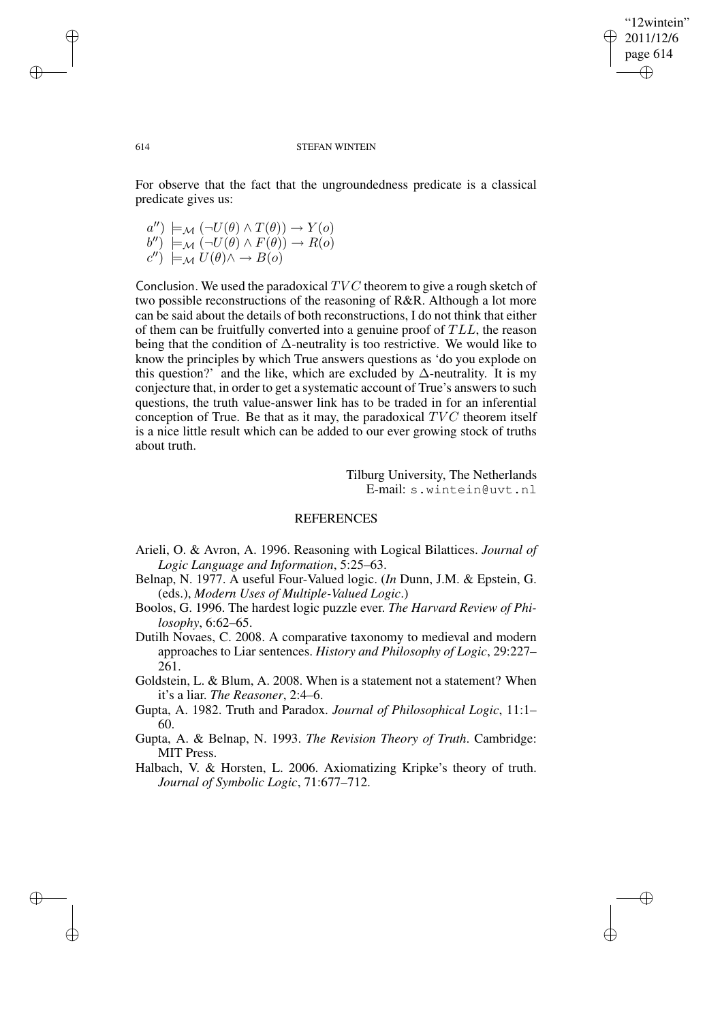✐

### 614 STEFAN WINTEIN

For observe that the fact that the ungroundedness predicate is a classical predicate gives us:

 $a''$ )  $\models_{\mathcal{M}} (\neg U(\theta) \land T(\theta)) \rightarrow Y(o)$  $(b'') \models_{\mathcal{M}} (\neg U(\theta) \land F(\theta)) \rightarrow R(o)$  $c''$ )  $\models_{\mathcal{M}} U(\theta) \wedge \rightarrow B(o)$ 

Conclusion. We used the paradoxical  $TVC$  theorem to give a rough sketch of two possible reconstructions of the reasoning of R&R. Although a lot more can be said about the details of both reconstructions, I do not think that either of them can be fruitfully converted into a genuine proof of  $TLL$ , the reason being that the condition of  $\Delta$ -neutrality is too restrictive. We would like to know the principles by which True answers questions as 'do you explode on this question?' and the like, which are excluded by  $\Delta$ -neutrality. It is my conjecture that, in order to get a systematic account of True's answers to such questions, the truth value-answer link has to be traded in for an inferential conception of True. Be that as it may, the paradoxical  $TVC$  theorem itself is a nice little result which can be added to our ever growing stock of truths about truth.

> Tilburg University, The Netherlands E-mail: s.wintein@uvt.nl

## REFERENCES

- Arieli, O. & Avron, A. 1996. Reasoning with Logical Bilattices. *Journal of Logic Language and Information*, 5:25–63.
- Belnap, N. 1977. A useful Four-Valued logic. (*In* Dunn, J.M. & Epstein, G. (eds.), *Modern Uses of Multiple-Valued Logic*.)
- Boolos, G. 1996. The hardest logic puzzle ever. *The Harvard Review of Philosophy*, 6:62–65.
- Dutilh Novaes, C. 2008. A comparative taxonomy to medieval and modern approaches to Liar sentences. *History and Philosophy of Logic*, 29:227– 261.
- Goldstein, L. & Blum, A. 2008. When is a statement not a statement? When it's a liar. *The Reasoner*, 2:4–6.
- Gupta, A. 1982. Truth and Paradox. *Journal of Philosophical Logic*, 11:1– 60.
- Gupta, A. & Belnap, N. 1993. *The Revision Theory of Truth*. Cambridge: MIT Press.
- Halbach, V. & Horsten, L. 2006. Axiomatizing Kripke's theory of truth. *Journal of Symbolic Logic*, 71:677–712.

✐

✐

✐